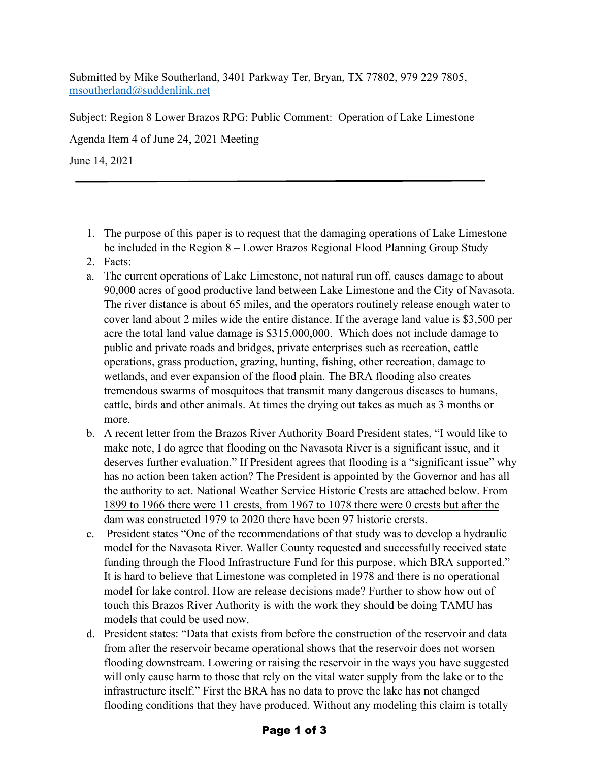Submitted by Mike Southerland, 3401 Parkway Ter, Bryan, TX 77802, 979 229 7805, [msoutherland@suddenlink.net](mailto:msoutherland@suddenlink.net)

Subject: Region 8 Lower Brazos RPG: Public Comment: Operation of Lake Limestone

Agenda Item 4 of June 24, 2021 Meeting

June 14, 2021

- 1. The purpose of this paper is to request that the damaging operations of Lake Limestone be included in the Region 8 – Lower Brazos Regional Flood Planning Group Study
- 2. Facts:
- a. The current operations of Lake Limestone, not natural run off, causes damage to about 90,000 acres of good productive land between Lake Limestone and the City of Navasota. The river distance is about 65 miles, and the operators routinely release enough water to cover land about 2 miles wide the entire distance. If the average land value is \$3,500 per acre the total land value damage is \$315,000,000. Which does not include damage to public and private roads and bridges, private enterprises such as recreation, cattle operations, grass production, grazing, hunting, fishing, other recreation, damage to wetlands, and ever expansion of the flood plain. The BRA flooding also creates tremendous swarms of mosquitoes that transmit many dangerous diseases to humans, cattle, birds and other animals. At times the drying out takes as much as 3 months or more.
- b. A recent letter from the Brazos River Authority Board President states, "I would like to make note, I do agree that flooding on the Navasota River is a significant issue, and it deserves further evaluation." If President agrees that flooding is a "significant issue" why has no action been taken action? The President is appointed by the Governor and has all the authority to act. National Weather Service Historic Crests are attached below. From 1899 to 1966 there were 11 crests, from 1967 to 1078 there were 0 crests but after the dam was constructed 1979 to 2020 there have been 97 historic crersts.
- c. President states "One of the recommendations of that study was to develop a hydraulic model for the Navasota River. Waller County requested and successfully received state funding through the Flood Infrastructure Fund for this purpose, which BRA supported." It is hard to believe that Limestone was completed in 1978 and there is no operational model for lake control. How are release decisions made? Further to show how out of touch this Brazos River Authority is with the work they should be doing TAMU has models that could be used now.
- d. President states: "Data that exists from before the construction of the reservoir and data from after the reservoir became operational shows that the reservoir does not worsen flooding downstream. Lowering or raising the reservoir in the ways you have suggested will only cause harm to those that rely on the vital water supply from the lake or to the infrastructure itself." First the BRA has no data to prove the lake has not changed flooding conditions that they have produced. Without any modeling this claim is totally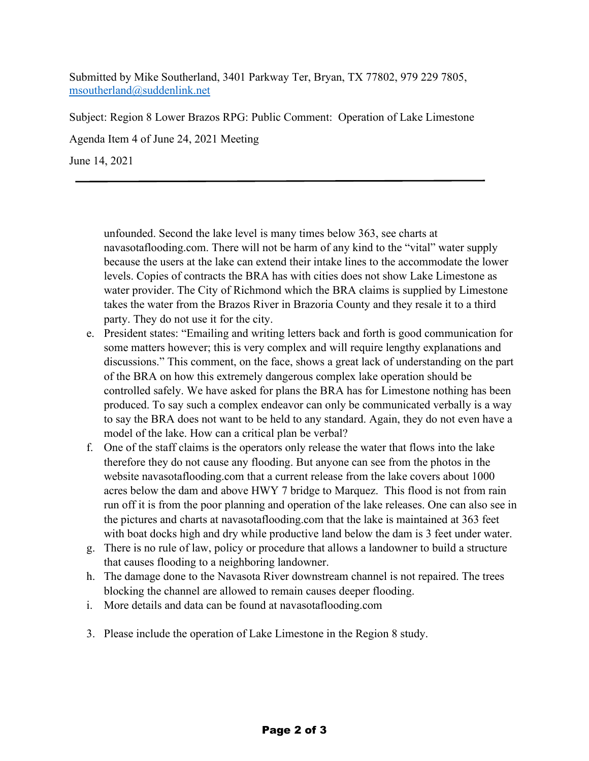Submitted by Mike Southerland, 3401 Parkway Ter, Bryan, TX 77802, 979 229 7805, [msoutherland@suddenlink.net](mailto:msoutherland@suddenlink.net)

Subject: Region 8 Lower Brazos RPG: Public Comment: Operation of Lake Limestone

Agenda Item 4 of June 24, 2021 Meeting

June 14, 2021

unfounded. Second the lake level is many times below 363, see charts at navasotaflooding.com. There will not be harm of any kind to the "vital" water supply because the users at the lake can extend their intake lines to the accommodate the lower levels. Copies of contracts the BRA has with cities does not show Lake Limestone as water provider. The City of Richmond which the BRA claims is supplied by Limestone takes the water from the Brazos River in Brazoria County and they resale it to a third party. They do not use it for the city.

- e. President states: "Emailing and writing letters back and forth is good communication for some matters however; this is very complex and will require lengthy explanations and discussions." This comment, on the face, shows a great lack of understanding on the part of the BRA on how this extremely dangerous complex lake operation should be controlled safely. We have asked for plans the BRA has for Limestone nothing has been produced. To say such a complex endeavor can only be communicated verbally is a way to say the BRA does not want to be held to any standard. Again, they do not even have a model of the lake. How can a critical plan be verbal?
- f. One of the staff claims is the operators only release the water that flows into the lake therefore they do not cause any flooding. But anyone can see from the photos in the website navasotaflooding.com that a current release from the lake covers about 1000 acres below the dam and above HWY 7 bridge to Marquez. This flood is not from rain run off it is from the poor planning and operation of the lake releases. One can also see in the pictures and charts at navasotaflooding.com that the lake is maintained at 363 feet with boat docks high and dry while productive land below the dam is 3 feet under water.
- g. There is no rule of law, policy or procedure that allows a landowner to build a structure that causes flooding to a neighboring landowner.
- h. The damage done to the Navasota River downstream channel is not repaired. The trees blocking the channel are allowed to remain causes deeper flooding.
- i. More details and data can be found at navasotaflooding.com
- 3. Please include the operation of Lake Limestone in the Region 8 study.